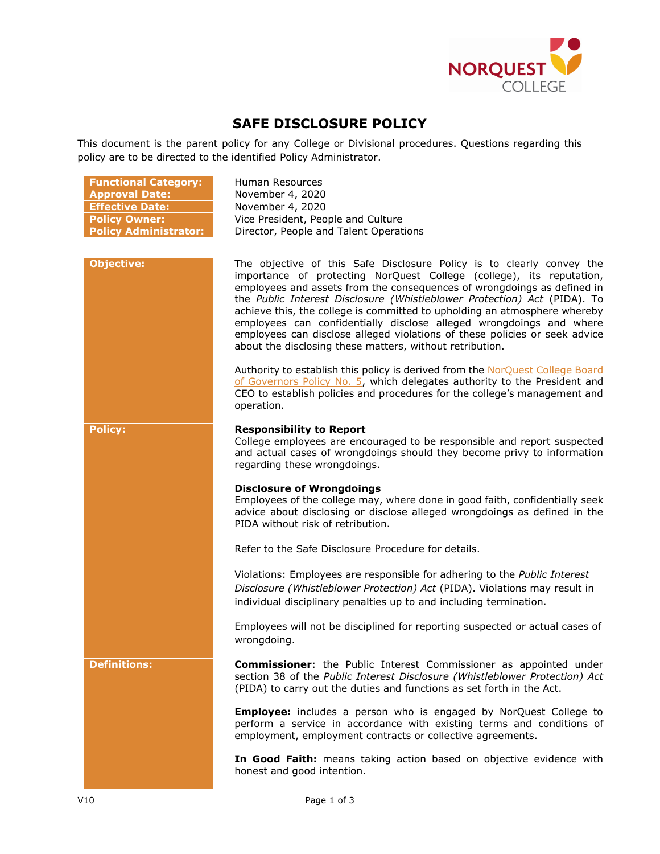

## **SAFE DISCLOSURE POLICY**

This document is the parent policy for any College or Divisional procedures. Questions regarding this policy are to be directed to the identified Policy Administrator.

| <b>Functional Category:</b>  | Human Resources                                                                                                                                                                                                                                                                                                                                                                                                                                                                                                                                                                                    |
|------------------------------|----------------------------------------------------------------------------------------------------------------------------------------------------------------------------------------------------------------------------------------------------------------------------------------------------------------------------------------------------------------------------------------------------------------------------------------------------------------------------------------------------------------------------------------------------------------------------------------------------|
| <b>Approval Date:</b>        | November 4, 2020                                                                                                                                                                                                                                                                                                                                                                                                                                                                                                                                                                                   |
| <b>Effective Date:</b>       | November 4, 2020                                                                                                                                                                                                                                                                                                                                                                                                                                                                                                                                                                                   |
| <b>Policy Owner:</b>         | Vice President, People and Culture                                                                                                                                                                                                                                                                                                                                                                                                                                                                                                                                                                 |
| <b>Policy Administrator:</b> | Director, People and Talent Operations                                                                                                                                                                                                                                                                                                                                                                                                                                                                                                                                                             |
|                              |                                                                                                                                                                                                                                                                                                                                                                                                                                                                                                                                                                                                    |
| <b>Objective:</b>            | The objective of this Safe Disclosure Policy is to clearly convey the<br>importance of protecting NorQuest College (college), its reputation,<br>employees and assets from the consequences of wrongdoings as defined in<br>the Public Interest Disclosure (Whistleblower Protection) Act (PIDA). To<br>achieve this, the college is committed to upholding an atmosphere whereby<br>employees can confidentially disclose alleged wrongdoings and where<br>employees can disclose alleged violations of these policies or seek advice<br>about the disclosing these matters, without retribution. |
|                              | Authority to establish this policy is derived from the NorQuest College Board<br>of Governors Policy No. 5, which delegates authority to the President and<br>CEO to establish policies and procedures for the college's management and<br>operation.                                                                                                                                                                                                                                                                                                                                              |
| <b>Policy:</b>               | <b>Responsibility to Report</b><br>College employees are encouraged to be responsible and report suspected<br>and actual cases of wrongdoings should they become privy to information<br>regarding these wrongdoings.                                                                                                                                                                                                                                                                                                                                                                              |
|                              | <b>Disclosure of Wrongdoings</b><br>Employees of the college may, where done in good faith, confidentially seek<br>advice about disclosing or disclose alleged wrongdoings as defined in the<br>PIDA without risk of retribution.                                                                                                                                                                                                                                                                                                                                                                  |
|                              | Refer to the Safe Disclosure Procedure for details.                                                                                                                                                                                                                                                                                                                                                                                                                                                                                                                                                |
|                              | Violations: Employees are responsible for adhering to the Public Interest<br>Disclosure (Whistleblower Protection) Act (PIDA). Violations may result in<br>individual disciplinary penalties up to and including termination.                                                                                                                                                                                                                                                                                                                                                                      |
|                              | Employees will not be disciplined for reporting suspected or actual cases of<br>wrongdoing.                                                                                                                                                                                                                                                                                                                                                                                                                                                                                                        |
| <b>Definitions:</b>          | <b>Commissioner:</b> the Public Interest Commissioner as appointed under<br>section 38 of the Public Interest Disclosure (Whistleblower Protection) Act<br>(PIDA) to carry out the duties and functions as set forth in the Act.                                                                                                                                                                                                                                                                                                                                                                   |
|                              | <b>Employee:</b> includes a person who is engaged by NorQuest College to<br>perform a service in accordance with existing terms and conditions of<br>employment, employment contracts or collective agreements.                                                                                                                                                                                                                                                                                                                                                                                    |
|                              | In Good Faith: means taking action based on objective evidence with<br>honest and good intention.                                                                                                                                                                                                                                                                                                                                                                                                                                                                                                  |

V10 Page 1 of 3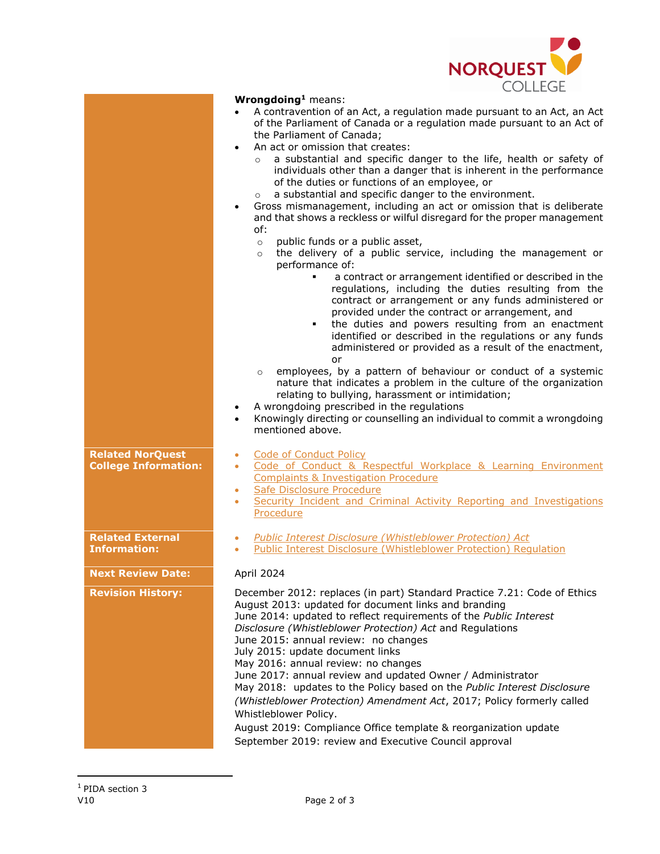

|                                                        | UULLLUL                                                                                                                                                                                                                                                                                                                                                                                                                                                                                                                                                                                                                                                                                                                                                                                                                                                                                                                                                                                                                                                                                                                                                                                                                                                                                                                                                                                                                                                                                                                                                                                                                                                              |
|--------------------------------------------------------|----------------------------------------------------------------------------------------------------------------------------------------------------------------------------------------------------------------------------------------------------------------------------------------------------------------------------------------------------------------------------------------------------------------------------------------------------------------------------------------------------------------------------------------------------------------------------------------------------------------------------------------------------------------------------------------------------------------------------------------------------------------------------------------------------------------------------------------------------------------------------------------------------------------------------------------------------------------------------------------------------------------------------------------------------------------------------------------------------------------------------------------------------------------------------------------------------------------------------------------------------------------------------------------------------------------------------------------------------------------------------------------------------------------------------------------------------------------------------------------------------------------------------------------------------------------------------------------------------------------------------------------------------------------------|
|                                                        | Wrongdoing <sup>1</sup> means:<br>A contravention of an Act, a regulation made pursuant to an Act, an Act<br>of the Parliament of Canada or a regulation made pursuant to an Act of<br>the Parliament of Canada;<br>An act or omission that creates:<br>$\bullet$<br>a substantial and specific danger to the life, health or safety of<br>$\circ$<br>individuals other than a danger that is inherent in the performance<br>of the duties or functions of an employee, or<br>a substantial and specific danger to the environment.<br>$\circ$<br>Gross mismanagement, including an act or omission that is deliberate<br>$\bullet$<br>and that shows a reckless or wilful disregard for the proper management<br>of:<br>public funds or a public asset,<br>$\circ$<br>the delivery of a public service, including the management or<br>$\circ$<br>performance of:<br>a contract or arrangement identified or described in the<br>regulations, including the duties resulting from the<br>contract or arrangement or any funds administered or<br>provided under the contract or arrangement, and<br>the duties and powers resulting from an enactment<br>٠<br>identified or described in the regulations or any funds<br>administered or provided as a result of the enactment,<br>or<br>employees, by a pattern of behaviour or conduct of a systemic<br>$\circ$<br>nature that indicates a problem in the culture of the organization<br>relating to bullying, harassment or intimidation;<br>A wrongdoing prescribed in the regulations<br>$\bullet$<br>Knowingly directing or counselling an individual to commit a wrongdoing<br>$\bullet$<br>mentioned above. |
| <b>Related NorQuest</b><br><b>College Information:</b> | <b>Code of Conduct Policy</b><br>$\bullet$<br>Code of Conduct & Respectful Workplace & Learning Environment<br>$\bullet$<br><b>Complaints &amp; Investigation Procedure</b><br>Safe Disclosure Procedure<br>$\bullet$<br>Security Incident and Criminal Activity Reporting and Investigations<br>$\bullet$<br>Procedure                                                                                                                                                                                                                                                                                                                                                                                                                                                                                                                                                                                                                                                                                                                                                                                                                                                                                                                                                                                                                                                                                                                                                                                                                                                                                                                                              |
| <b>Related External</b>                                | <b>Public Interest Disclosure (Whistleblower Protection) Act</b><br>$\bullet$                                                                                                                                                                                                                                                                                                                                                                                                                                                                                                                                                                                                                                                                                                                                                                                                                                                                                                                                                                                                                                                                                                                                                                                                                                                                                                                                                                                                                                                                                                                                                                                        |
| <b>Information:</b>                                    | <b>Public Interest Disclosure (Whistleblower Protection) Regulation</b>                                                                                                                                                                                                                                                                                                                                                                                                                                                                                                                                                                                                                                                                                                                                                                                                                                                                                                                                                                                                                                                                                                                                                                                                                                                                                                                                                                                                                                                                                                                                                                                              |
| <b>Next Review Date:</b>                               | April 2024                                                                                                                                                                                                                                                                                                                                                                                                                                                                                                                                                                                                                                                                                                                                                                                                                                                                                                                                                                                                                                                                                                                                                                                                                                                                                                                                                                                                                                                                                                                                                                                                                                                           |
| <b>Revision History:</b>                               | December 2012: replaces (in part) Standard Practice 7.21: Code of Ethics<br>August 2013: updated for document links and branding<br>June 2014: updated to reflect requirements of the Public Interest<br>Disclosure (Whistleblower Protection) Act and Regulations<br>June 2015: annual review: no changes<br>July 2015: update document links<br>May 2016: annual review: no changes<br>June 2017: annual review and updated Owner / Administrator<br>May 2018: updates to the Policy based on the Public Interest Disclosure<br>(Whistleblower Protection) Amendment Act, 2017; Policy formerly called<br>Whistleblower Policy.                                                                                                                                                                                                                                                                                                                                                                                                                                                                                                                                                                                                                                                                                                                                                                                                                                                                                                                                                                                                                                    |

August 2019: Compliance Office template & reorganization update September 2019: review and Executive Council approval

 $\overline{a}$